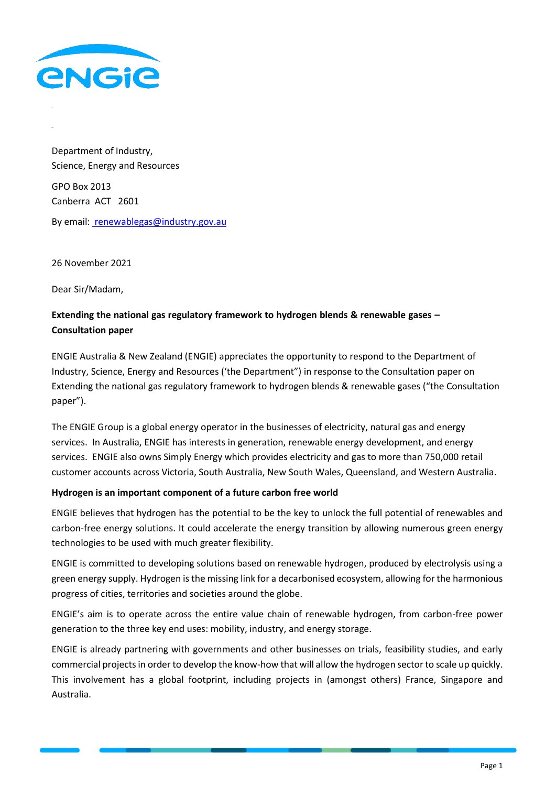

Department of Industry, Science, Energy and Resources GPO Box 2013 Canberra ACT 2601 By email: [renewablegas@industry.gov.au](mailto:%20renewablegas@industry.gov.au)

26 November 2021

Dear Sir/Madam,

## **Extending the national gas regulatory framework to hydrogen blends & renewable gases – Consultation paper**

ENGIE Australia & New Zealand (ENGIE) appreciates the opportunity to respond to the Department of Industry, Science, Energy and Resources ('the Department") in response to the Consultation paper on Extending the national gas regulatory framework to hydrogen blends & renewable gases ("the Consultation paper").

The ENGIE Group is a global energy operator in the businesses of electricity, natural gas and energy services. In Australia, ENGIE has interests in generation, renewable energy development, and energy services. ENGIE also owns Simply Energy which provides electricity and gas to more than 750,000 retail customer accounts across Victoria, South Australia, New South Wales, Queensland, and Western Australia.

## **Hydrogen is an important component of a future carbon free world**

ENGIE believes that hydrogen has the potential to be the key to unlock the full potential of renewables and carbon-free energy solutions. It could accelerate the energy transition by allowing numerous green energy technologies to be used with much greater flexibility.

ENGIE is committed to developing solutions based on renewable hydrogen, produced by electrolysis using a green energy supply. Hydrogen is the missing link for a decarbonised ecosystem, allowing for the harmonious progress of cities, territories and societies around the globe.

ENGIE's aim is to operate across the entire value chain of renewable hydrogen, from carbon-free power generation to the three key end uses: mobility, industry, and energy storage.

ENGIE is already partnering with governments and other businesses on trials, feasibility studies, and early commercial projects in order to develop the know-how that will allow the hydrogen sector to scale up quickly. This involvement has a global footprint, including projects in (amongst others) France, Singapore and Australia.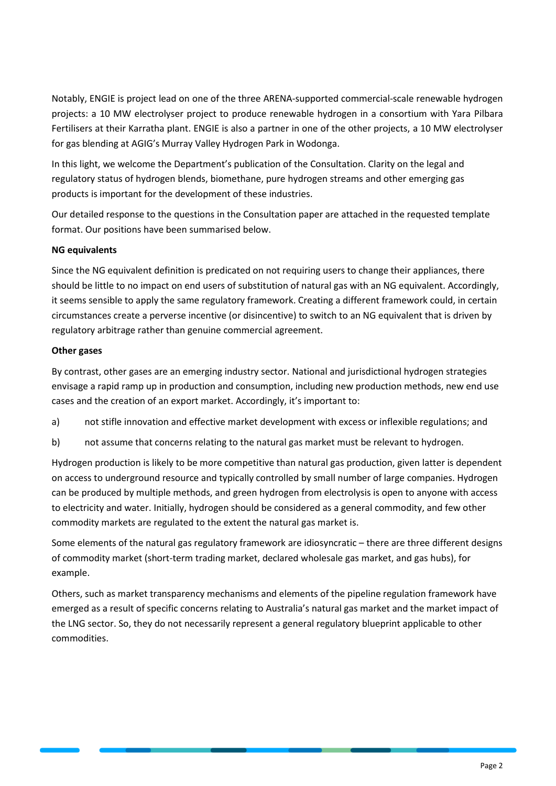Notably, ENGIE is project lead on one of the three ARENA-supported commercial-scale renewable hydrogen projects: a 10 MW electrolyser project to produce renewable hydrogen in a consortium with Yara Pilbara Fertilisers at their Karratha plant. ENGIE is also a partner in one of the other projects, a 10 MW electrolyser for gas blending at AGIG's Murray Valley Hydrogen Park in Wodonga.

In this light, we welcome the Department's publication of the Consultation. Clarity on the legal and regulatory status of hydrogen blends, biomethane, pure hydrogen streams and other emerging gas products is important for the development of these industries.

Our detailed response to the questions in the Consultation paper are attached in the requested template format. Our positions have been summarised below.

## **NG equivalents**

Since the NG equivalent definition is predicated on not requiring users to change their appliances, there should be little to no impact on end users of substitution of natural gas with an NG equivalent. Accordingly, it seems sensible to apply the same regulatory framework. Creating a different framework could, in certain circumstances create a perverse incentive (or disincentive) to switch to an NG equivalent that is driven by regulatory arbitrage rather than genuine commercial agreement.

## **Other gases**

By contrast, other gases are an emerging industry sector. National and jurisdictional hydrogen strategies envisage a rapid ramp up in production and consumption, including new production methods, new end use cases and the creation of an export market. Accordingly, it's important to:

a) not stifle innovation and effective market development with excess or inflexible regulations; and

b) not assume that concerns relating to the natural gas market must be relevant to hydrogen.

Hydrogen production is likely to be more competitive than natural gas production, given latter is dependent on access to underground resource and typically controlled by small number of large companies. Hydrogen can be produced by multiple methods, and green hydrogen from electrolysis is open to anyone with access to electricity and water. Initially, hydrogen should be considered as a general commodity, and few other commodity markets are regulated to the extent the natural gas market is.

Some elements of the natural gas regulatory framework are idiosyncratic – there are three different designs of commodity market (short-term trading market, declared wholesale gas market, and gas hubs), for example.

Others, such as market transparency mechanisms and elements of the pipeline regulation framework have emerged as a result of specific concerns relating to Australia's natural gas market and the market impact of the LNG sector. So, they do not necessarily represent a general regulatory blueprint applicable to other commodities.